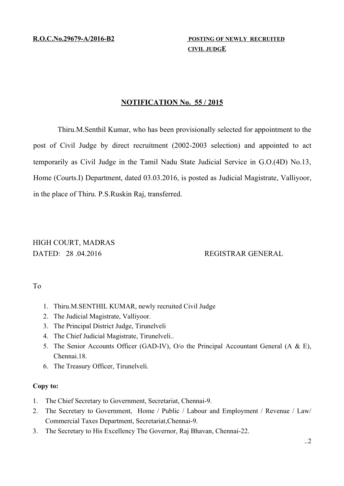**R.O.C.No.29679-A/2016-B2 POSTING OF NEWLY RECRUITED** 

 **C IVIL JUDGE** 

# **NOTIFICATION No. 55 / 2015**

Thiru.M.Senthil Kumar, who has been provisionally selected for appointment to the post of Civil Judge by direct recruitment (2002-2003 selection) and appointed to act temporarily as Civil Judge in the Tamil Nadu State Judicial Service in G.O.(4D) No.13, Home (Courts.I) Department, dated 03.03.2016, is posted as Judicial Magistrate, Valliyoor, in the place of Thiru. P.S.Ruskin Raj, transferred.

# HIGH COURT, MADRAS DATED: 28 .04.2016 REGISTRAR GENERAL

To

- 1. Thiru.M.SENTHIL KUMAR, newly recruited Civil Judge
- 2. The Judicial Magistrate, Valliyoor.
- 3. The Principal District Judge, Tirunelveli
- 4. The Chief Judicial Magistrate, Tirunelveli..
- 5. The Senior Accounts Officer (GAD-IV), O/o the Principal Accountant General (A & E), Chennai.18.
- 6. The Treasury Officer, Tirunelveli.

# **Copy to:**

- 1. The Chief Secretary to Government, Secretariat, Chennai-9.
- 2. The Secretary to Government, Home / Public / Labour and Employment / Revenue / Law/ Commercial Taxes Department, Secretariat,Chennai-9.
- 3. The Secretary to His Excellency The Governor, Raj Bhavan, Chennai-22.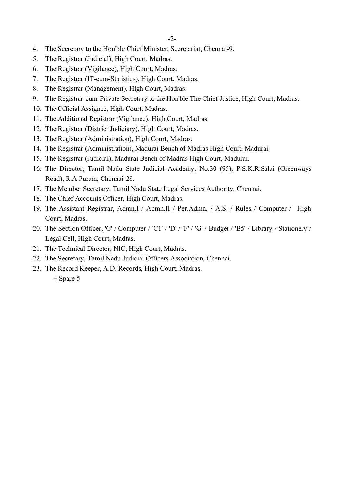- 4. The Secretary to the Hon'ble Chief Minister, Secretariat, Chennai-9.
- 5. The Registrar (Judicial), High Court, Madras.
- 6. The Registrar (Vigilance), High Court, Madras.
- 7. The Registrar (IT-cum-Statistics), High Court, Madras.
- 8. The Registrar (Management), High Court, Madras.
- 9. The Registrar-cum-Private Secretary to the Hon'ble The Chief Justice, High Court, Madras.
- 10. The Official Assignee, High Court, Madras.
- 11. The Additional Registrar (Vigilance), High Court, Madras.
- 12. The Registrar (District Judiciary), High Court, Madras.
- 13. The Registrar (Administration), High Court, Madras.
- 14. The Registrar (Administration), Madurai Bench of Madras High Court, Madurai.
- 15. The Registrar (Judicial), Madurai Bench of Madras High Court, Madurai.
- 16. The Director, Tamil Nadu State Judicial Academy, No.30 (95), P.S.K.R.Salai (Greenways Road), R.A.Puram, Chennai-28.
- 17. The Member Secretary, Tamil Nadu State Legal Services Authority, Chennai.
- 18. The Chief Accounts Officer, High Court, Madras.
- 19. The Assistant Registrar, Admn.I / Admn.II / Per.Admn. / A.S. / Rules / Computer / High Court, Madras.
- 20. The Section Officer, 'C' / Computer / 'C1' / 'D' / 'F' / 'G' / Budget / 'B5' / Library / Stationery / Legal Cell, High Court, Madras.
- 21. The Technical Director, NIC, High Court, Madras.
- 22. The Secretary, Tamil Nadu Judicial Officers Association, Chennai.
- 23. The Record Keeper, A.D. Records, High Court, Madras.

<sup>+</sup> Spare 5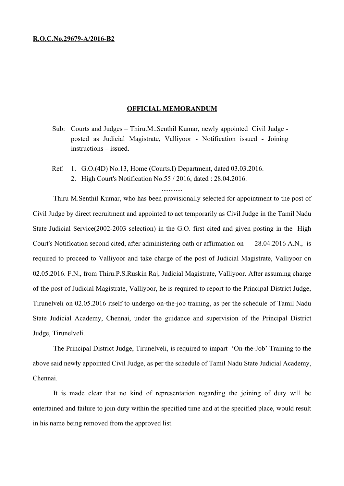#### **R.O.C.No.29679-A/2016-B2**

### **OFFICIAL MEMORANDUM**

Sub: Courts and Judges – Thiru.M..Senthil Kumar, newly appointed Civil Judge posted as Judicial Magistrate, Valliyoor - Notification issued - Joining instructions – issued.

............

Ref: 1. G.O.(4D) No.13, Home (Courts.I) Department, dated 03.03.2016. 2. High Court's Notification No.55 / 2016, dated : 28.04.2016.

Thiru M.Senthil Kumar, who has been provisionally selected for appointment to the post of Civil Judge by direct recruitment and appointed to act temporarily as Civil Judge in the Tamil Nadu State Judicial Service(2002-2003 selection) in the G.O. first cited and given posting in the High Court's Notification second cited, after administering oath or affirmation on 28.04.2016 A.N., is required to proceed to Valliyoor and take charge of the post of Judicial Magistrate, Valliyoor on 02.05.2016. F.N., from Thiru.P.S.Ruskin Raj, Judicial Magistrate, Valliyoor. After assuming charge of the post of Judicial Magistrate, Valliyoor, he is required to report to the Principal District Judge, Tirunelveli on 02.05.2016 itself to undergo on-the-job training, as per the schedule of Tamil Nadu State Judicial Academy, Chennai, under the guidance and supervision of the Principal District Judge, Tirunelveli.

The Principal District Judge, Tirunelveli, is required to impart 'On-the-Job' Training to the above said newly appointed Civil Judge, as per the schedule of Tamil Nadu State Judicial Academy, Chennai.

It is made clear that no kind of representation regarding the joining of duty will be entertained and failure to join duty within the specified time and at the specified place, would result in his name being removed from the approved list.